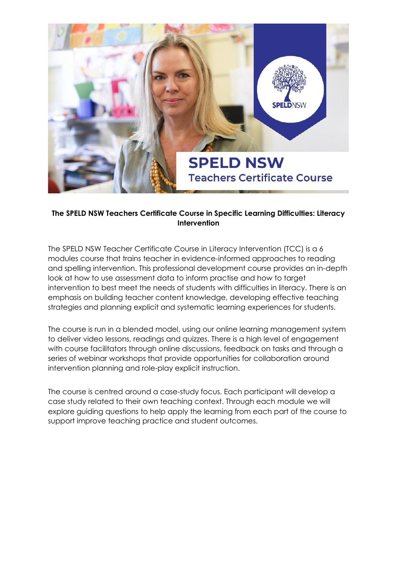

### **The SPELD NSW Teachers Certificate Course in Specific Learning Difficulties: Literacy Intervention**

The SPELD NSW Teacher Certificate Course in Literacy Intervention (TCC) is a 6 modules course that trains teacher in evidence-informed approaches to reading and spelling intervention. This professional development course provides an in-depth look at how to use assessment data to inform practise and how to target intervention to best meet the needs of students with difficulties in literacy. There is an emphasis on building teacher content knowledge, developing effective teaching strategies and planning explicit and systematic learning experiences for students.

The course is run in a blended model, using our online learning management system to deliver video lessons, readings and quizzes. There is a high level of engagement with course facilitators through online discussions, feedback on tasks and through a series of webinar workshops that provide opportunities for collaboration around intervention planning and role-play explicit instruction.

The course is centred around a case-study focus. Each participant will develop a case study related to their own teaching context. Through each module we will explore guiding questions to help apply the learning from each part of the course to support improve teaching practice and student outcomes.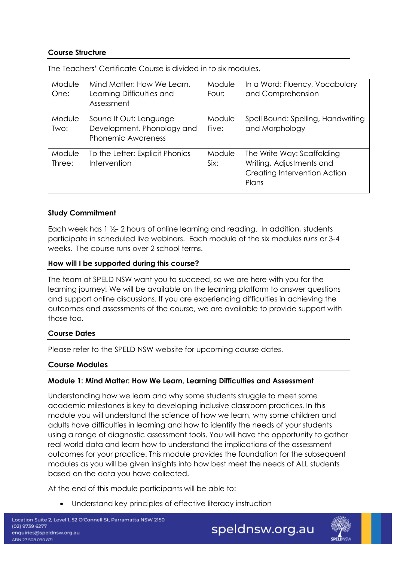# **Course Structure**

| Module<br>One:   | Mind Matter: How We Learn,<br>Learning Difficulties and<br>Assessment             | Module<br>Four: | In a Word: Fluency, Vocabulary<br>and Comprehension                                             |
|------------------|-----------------------------------------------------------------------------------|-----------------|-------------------------------------------------------------------------------------------------|
| Module<br>Two:   | Sound It Out: Language<br>Development, Phonology and<br><b>Phonemic Awareness</b> | Module<br>Five: | Spell Bound: Spelling, Handwriting<br>and Morphology                                            |
| Module<br>Three: | To the Letter: Explicit Phonics<br>Intervention                                   | Module<br>Six:  | The Write Way: Scaffolding<br>Writing, Adjustments and<br>Creating Intervention Action<br>Plans |

The Teachers' Certificate Course is divided in to six modules.

#### **Study Commitment**

Each week has 1 ½- 2 hours of online learning and reading. In addition, students participate in scheduled live webinars. Each module of the six modules runs or 3-4 weeks. The course runs over 2 school terms.

#### **How will I be supported during this course?**

The team at SPELD NSW want you to succeed, so we are here with you for the learning journey! We will be available on the learning platform to answer questions and support online discussions. If you are experiencing difficulties in achieving the outcomes and assessments of the course, we are available to provide support with those too.

#### **Course Dates**

Please refer to the SPELD NSW website for upcoming course dates.

#### **Course Modules**

#### **Module 1: Mind Matter: How We Learn, Learning Difficulties and Assessment**

Understanding how we learn and why some students struggle to meet some academic milestones is key to developing inclusive classroom practices. In this module you will understand the science of how we learn, why some children and adults have difficulties in learning and how to identify the needs of your students using a range of diagnostic assessment tools. You will have the opportunity to gather real-world data and learn how to understand the implications of the assessment outcomes for your practice. This module provides the foundation for the subsequent modules as you will be given insights into how best meet the needs of ALL students based on the data you have collected.

At the end of this module participants will be able to:

Understand key principles of effective literacy instruction

speldnsw.org.au

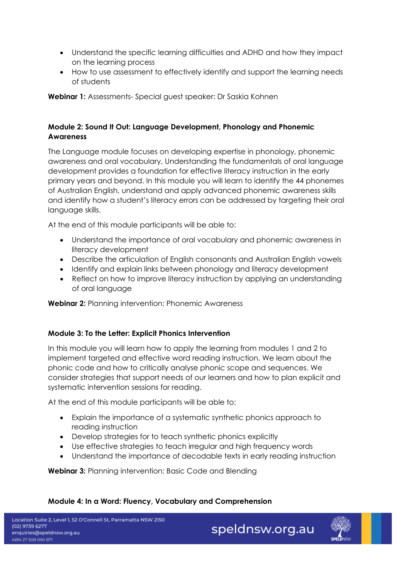- Understand the specific learning difficulties and ADHD and how they impact on the learning process
- How to use assessment to effectively identify and support the learning needs of students

**Webinar 1:** Assessments- Special guest speaker: Dr Saskia Kohnen

# **Module 2: Sound It Out: Language Development, Phonology and Phonemic Awareness**

The Language module focuses on developing expertise in phonology, phonemic awareness and oral vocabulary. Understanding the fundamentals of oral language development provides a foundation for effective literacy instruction in the early primary years and beyond. In this module you will learn to identify the 44 phonemes of Australian English, understand and apply advanced phonemic awareness skills and identify how a student's literacy errors can be addressed by targeting their oral language skills.

At the end of this module participants will be able to:

- Understand the importance of oral vocabulary and phonemic awareness in literacy development
- Describe the articulation of English consonants and Australian English vowels
- Identify and explain links between phonology and literacy development
- Reflect on how to improve literacy instruction by applying an understanding of oral language

**Webinar 2:** Planning intervention: Phonemic Awareness

#### **Module 3: To the Letter: Explicit Phonics Intervention**

In this module you will learn how to apply the learning from modules 1 and 2 to implement targeted and effective word reading instruction. We learn about the phonic code and how to critically analyse phonic scope and sequences. We consider strategies that support needs of our learners and how to plan explicit and systematic intervention sessions for reading.

At the end of this module participants will be able to:

- Explain the importance of a systematic synthetic phonics approach to reading instruction
- Develop strategies for to teach synthetic phonics explicitly
- Use effective strategies to teach irregular and high frequency words
- Understand the importance of decodable texts in early reading instruction

**Webinar 3:** Planning intervention: Basic Code and Blending

# **Module 4: In a Word: Fluency, Vocabulary and Comprehension**

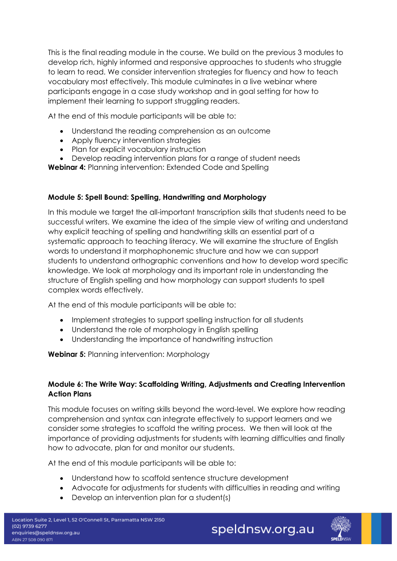This is the final reading module in the course. We build on the previous 3 modules to develop rich, highly informed and responsive approaches to students who struggle to learn to read. We consider intervention strategies for fluency and how to teach vocabulary most effectively. This module culminates in a live webinar where participants engage in a case study workshop and in goal setting for how to implement their learning to support struggling readers.

At the end of this module participants will be able to:

- Understand the reading comprehension as an outcome
- Apply fluency intervention strategies
- Plan for explicit vocabulary instruction
- Develop reading intervention plans for a range of student needs

**Webinar 4:** Planning intervention: Extended Code and Spelling

### **Module 5: Spell Bound: Spelling, Handwriting and Morphology**

In this module we target the all-important transcription skills that students need to be successful writers. We examine the idea of the simple view of writing and understand why explicit teaching of spelling and handwriting skills an essential part of a systematic approach to teaching literacy. We will examine the structure of English words to understand it morphophonemic structure and how we can support students to understand orthographic conventions and how to develop word specific knowledge. We look at morphology and its important role in understanding the structure of English spelling and how morphology can support students to spell complex words effectively.

At the end of this module participants will be able to:

- Implement strategies to support spelling instruction for all students
- Understand the role of morphology in English spelling
- Understanding the importance of handwriting instruction

**Webinar 5:** Planning intervention: Morphology

#### **Module 6: The Write Way: Scaffolding Writing, Adjustments and Creating Intervention Action Plans**

This module focuses on writing skills beyond the word-level. We explore how reading comprehension and syntax can integrate effectively to support learners and we consider some strategies to scaffold the writing process. We then will look at the importance of providing adjustments for students with learning difficulties and finally how to advocate, plan for and monitor our students.

At the end of this module participants will be able to:

- Understand how to scaffold sentence structure development
- Advocate for adjustments for students with difficulties in reading and writing
- Develop an intervention plan for a student(s)

speldnsw.org.au